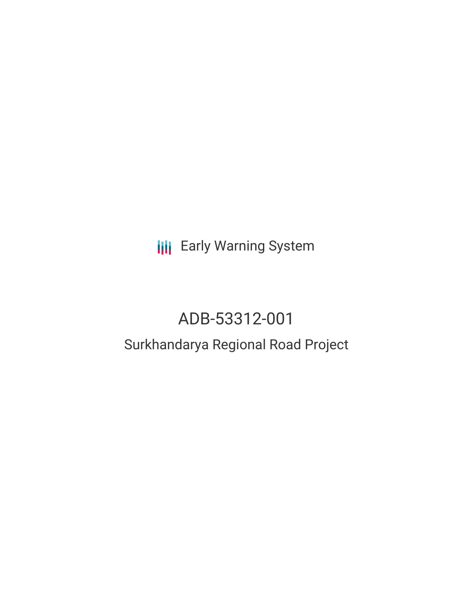**III** Early Warning System

# ADB-53312-001 Surkhandarya Regional Road Project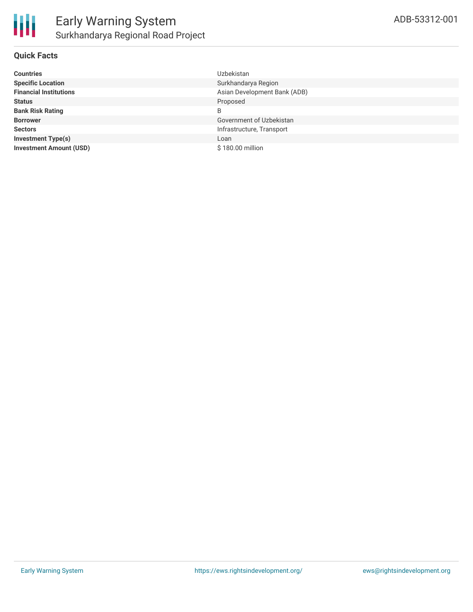# **Quick Facts**

| <b>Countries</b>               | Uzbekistan                   |
|--------------------------------|------------------------------|
| <b>Specific Location</b>       | Surkhandarya Region          |
| <b>Financial Institutions</b>  | Asian Development Bank (ADB) |
| <b>Status</b>                  | Proposed                     |
| <b>Bank Risk Rating</b>        | B                            |
| <b>Borrower</b>                | Government of Uzbekistan     |
| <b>Sectors</b>                 | Infrastructure, Transport    |
| <b>Investment Type(s)</b>      | Loan                         |
| <b>Investment Amount (USD)</b> | \$180.00 million             |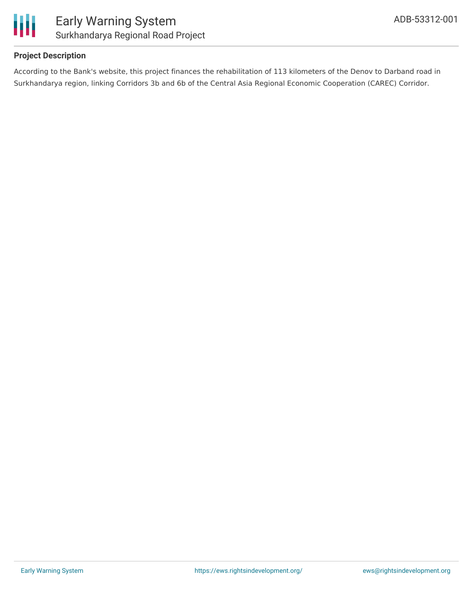



# **Project Description**

According to the Bank's website, this project finances the rehabilitation of 113 kilometers of the Denov to Darband road in Surkhandarya region, linking Corridors 3b and 6b of the Central Asia Regional Economic Cooperation (CAREC) Corridor.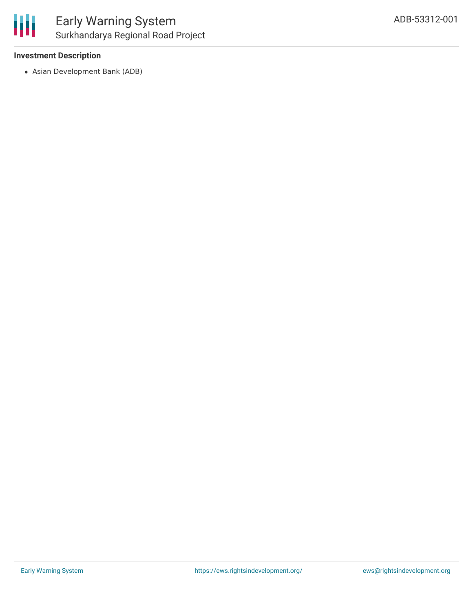## **Investment Description**

Asian Development Bank (ADB)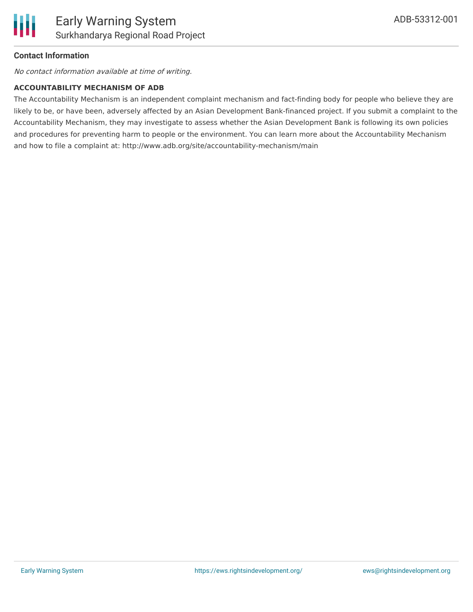

## **Contact Information**

No contact information available at time of writing.

#### **ACCOUNTABILITY MECHANISM OF ADB**

The Accountability Mechanism is an independent complaint mechanism and fact-finding body for people who believe they are likely to be, or have been, adversely affected by an Asian Development Bank-financed project. If you submit a complaint to the Accountability Mechanism, they may investigate to assess whether the Asian Development Bank is following its own policies and procedures for preventing harm to people or the environment. You can learn more about the Accountability Mechanism and how to file a complaint at: http://www.adb.org/site/accountability-mechanism/main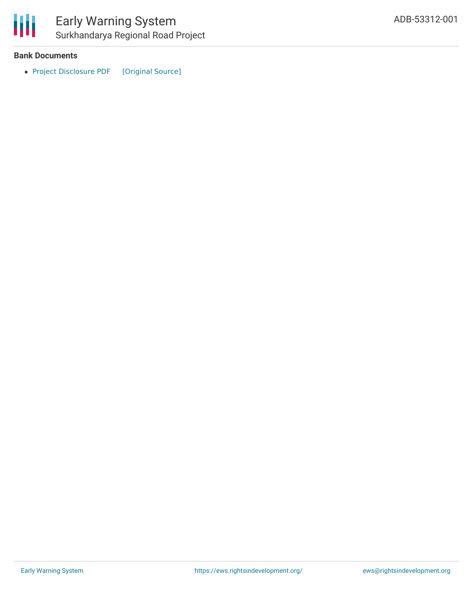

#### **Bank Documents**

• Project [Disclosure](https://ewsdata.rightsindevelopment.org/files/documents/01/ADB-53312-001.pdf) PDF [\[Original](https://www.adb.org/printpdf/projects/53312-001/main) Source]